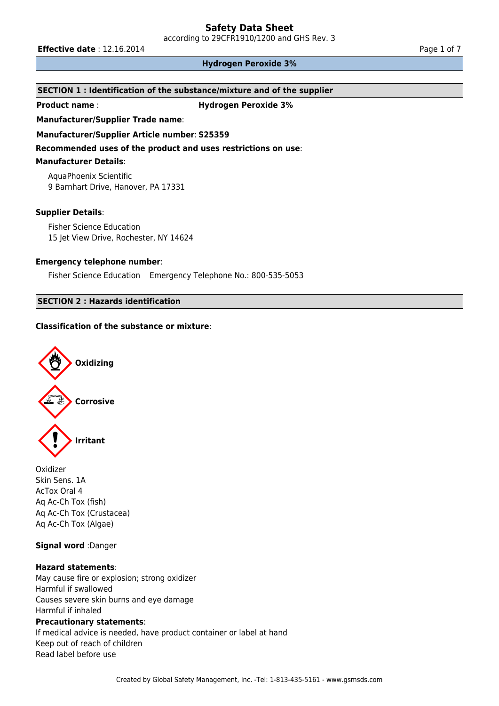according to 29CFR1910/1200 and GHS Rev. 3

**Effective date** : 12.16.2014 **Page 1 of 7 Page 1 of 7** 

#### **Hydrogen Peroxide 3%**

# **SECTION 1 : Identification of the substance/mixture and of the supplier**

**Product name** : **Hydrogen Peroxide 3%**

**Manufacturer/Supplier Trade name**:

**Manufacturer/Supplier Article number**: **S25359**

**Recommended uses of the product and uses restrictions on use**:

#### **Manufacturer Details**:

AquaPhoenix Scientific 9 Barnhart Drive, Hanover, PA 17331

#### **Supplier Details**:

Fisher Science Education 15 Jet View Drive, Rochester, NY 14624

#### **Emergency telephone number**:

Fisher Science Education Emergency Telephone No.: 800-535-5053

# **SECTION 2 : Hazards identification**

# **Classification of the substance or mixture**:



Oxidizer Skin Sens. 1A AcTox Oral 4 Aq Ac-Ch Tox (fish) Aq Ac-Ch Tox (Crustacea) Aq Ac-Ch Tox (Algae)

# **Signal word** :Danger

#### **Hazard statements**:

May cause fire or explosion; strong oxidizer Harmful if swallowed Causes severe skin burns and eye damage Harmful if inhaled

#### **Precautionary statements**:

If medical advice is needed, have product container or label at hand Keep out of reach of children Read label before use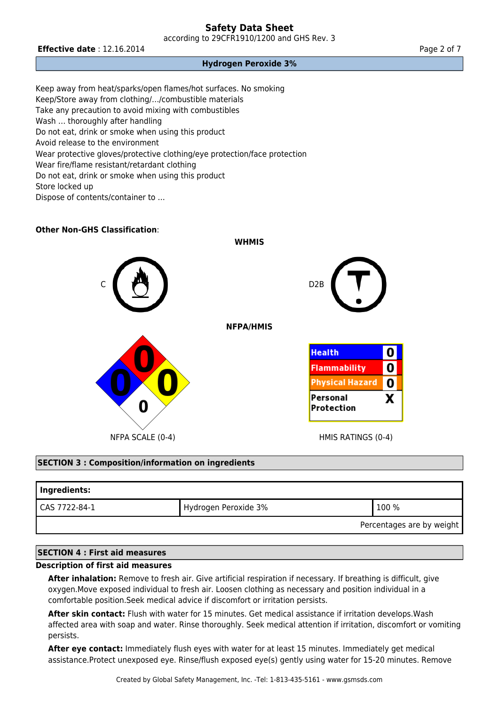according to 29CFR1910/1200 and GHS Rev. 3

### **Effective date** : 12.16.2014 **Page 2 of 7 Page 2 of 7**

#### **Hydrogen Peroxide 3%**

Keep away from heat/sparks/open flames/hot surfaces. No smoking Keep/Store away from clothing/…/combustible materials Take any precaution to avoid mixing with combustibles Wash … thoroughly after handling Do not eat, drink or smoke when using this product Avoid release to the environment Wear protective gloves/protective clothing/eye protection/face protection Wear fire/flame resistant/retardant clothing Do not eat, drink or smoke when using this product Store locked up Dispose of contents/container to …

## **Other Non-GHS Classification**:



#### **SECTION 3 : Composition/information on ingredients**

| Ingredients:              |                      |             |  |  |
|---------------------------|----------------------|-------------|--|--|
| I CAS 7722-84-1           | Hydrogen Peroxide 3% | $'$ 100 $%$ |  |  |
| Percentages are by weight |                      |             |  |  |

# **SECTION 4 : First aid measures**

#### **Description of first aid measures**

**After inhalation:** Remove to fresh air. Give artificial respiration if necessary. If breathing is difficult, give oxygen.Move exposed individual to fresh air. Loosen clothing as necessary and position individual in a comfortable position.Seek medical advice if discomfort or irritation persists.

**After skin contact:** Flush with water for 15 minutes. Get medical assistance if irritation develops.Wash affected area with soap and water. Rinse thoroughly. Seek medical attention if irritation, discomfort or vomiting persists.

**After eye contact:** Immediately flush eyes with water for at least 15 minutes. Immediately get medical assistance.Protect unexposed eye. Rinse/flush exposed eye(s) gently using water for 15-20 minutes. Remove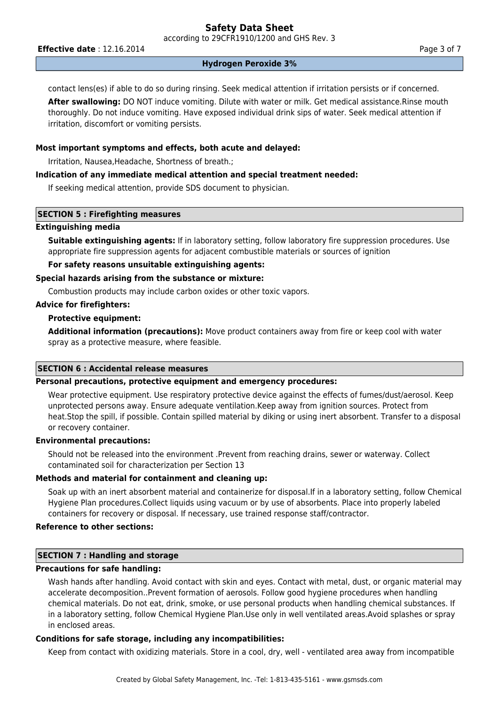according to 29CFR1910/1200 and GHS Rev. 3

**Effective date** : 12.16.2014 **Page 3 of 7 Page 3 of 7** 

#### **Hydrogen Peroxide 3%**

contact lens(es) if able to do so during rinsing. Seek medical attention if irritation persists or if concerned.

**After swallowing:** DO NOT induce vomiting. Dilute with water or milk. Get medical assistance.Rinse mouth thoroughly. Do not induce vomiting. Have exposed individual drink sips of water. Seek medical attention if irritation, discomfort or vomiting persists.

#### **Most important symptoms and effects, both acute and delayed:**

Irritation, Nausea,Headache, Shortness of breath.;

#### **Indication of any immediate medical attention and special treatment needed:**

If seeking medical attention, provide SDS document to physician.

## **SECTION 5 : Firefighting measures**

#### **Extinguishing media**

**Suitable extinguishing agents:** If in laboratory setting, follow laboratory fire suppression procedures. Use appropriate fire suppression agents for adjacent combustible materials or sources of ignition

# **For safety reasons unsuitable extinguishing agents:**

#### **Special hazards arising from the substance or mixture:**

Combustion products may include carbon oxides or other toxic vapors.

#### **Advice for firefighters:**

# **Protective equipment:**

**Additional information (precautions):** Move product containers away from fire or keep cool with water spray as a protective measure, where feasible.

## **SECTION 6 : Accidental release measures**

# **Personal precautions, protective equipment and emergency procedures:**

Wear protective equipment. Use respiratory protective device against the effects of fumes/dust/aerosol. Keep unprotected persons away. Ensure adequate ventilation.Keep away from ignition sources. Protect from heat.Stop the spill, if possible. Contain spilled material by diking or using inert absorbent. Transfer to a disposal or recovery container.

#### **Environmental precautions:**

Should not be released into the environment .Prevent from reaching drains, sewer or waterway. Collect contaminated soil for characterization per Section 13

#### **Methods and material for containment and cleaning up:**

Soak up with an inert absorbent material and containerize for disposal.If in a laboratory setting, follow Chemical Hygiene Plan procedures.Collect liquids using vacuum or by use of absorbents. Place into properly labeled containers for recovery or disposal. If necessary, use trained response staff/contractor.

# **Reference to other sections:**

# **SECTION 7 : Handling and storage**

# **Precautions for safe handling:**

Wash hands after handling. Avoid contact with skin and eyes. Contact with metal, dust, or organic material may accelerate decomposition..Prevent formation of aerosols. Follow good hygiene procedures when handling chemical materials. Do not eat, drink, smoke, or use personal products when handling chemical substances. If in a laboratory setting, follow Chemical Hygiene Plan.Use only in well ventilated areas.Avoid splashes or spray in enclosed areas.

# **Conditions for safe storage, including any incompatibilities:**

Keep from contact with oxidizing materials. Store in a cool, dry, well - ventilated area away from incompatible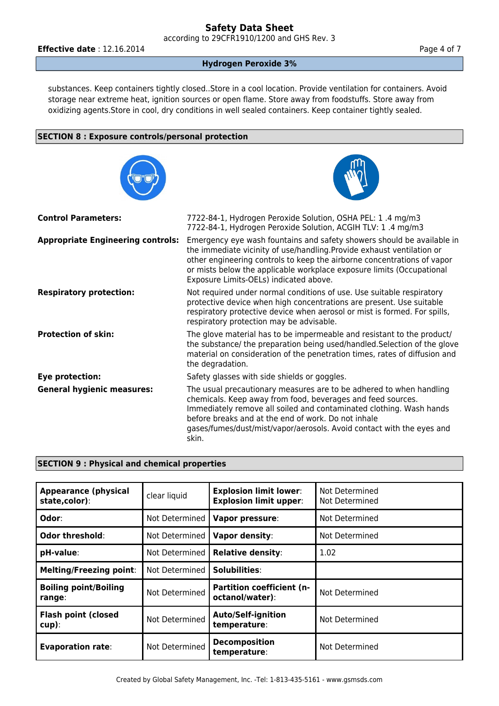according to 29CFR1910/1200 and GHS Rev. 3

**Effective date** : 12.16.2014 **Page 4 of 7 Page 4 of 7** 

#### **Hydrogen Peroxide 3%**

substances. Keep containers tightly closed..Store in a cool location. Provide ventilation for containers. Avoid storage near extreme heat, ignition sources or open flame. Store away from foodstuffs. Store away from oxidizing agents.Store in cool, dry conditions in well sealed containers. Keep container tightly sealed.

#### **SECTION 8 : Exposure controls/personal protection**



#### **SECTION 9 : Physical and chemical properties**

| <b>Appearance (physical</b><br>state,color): | clear liquid   | <b>Explosion limit lower:</b><br><b>Explosion limit upper:</b> | Not Determined<br>Not Determined |
|----------------------------------------------|----------------|----------------------------------------------------------------|----------------------------------|
| Odor:                                        | Not Determined | Vapor pressure:                                                | Not Determined                   |
| Odor threshold:                              | Not Determined | Vapor density:                                                 | Not Determined                   |
| pH-value:                                    | Not Determined | <b>Relative density:</b>                                       | 1.02                             |
| <b>Melting/Freezing point:</b>               | Not Determined | Solubilities:                                                  |                                  |
| <b>Boiling point/Boiling</b><br>range:       | Not Determined | <b>Partition coefficient (n-</b><br>octanol/water):            | Not Determined                   |
| <b>Flash point (closed</b><br>$cup$ ):       | Not Determined | <b>Auto/Self-ignition</b><br>temperature:                      | Not Determined                   |
| <b>Evaporation rate:</b>                     | Not Determined | <b>Decomposition</b><br>temperature:                           | Not Determined                   |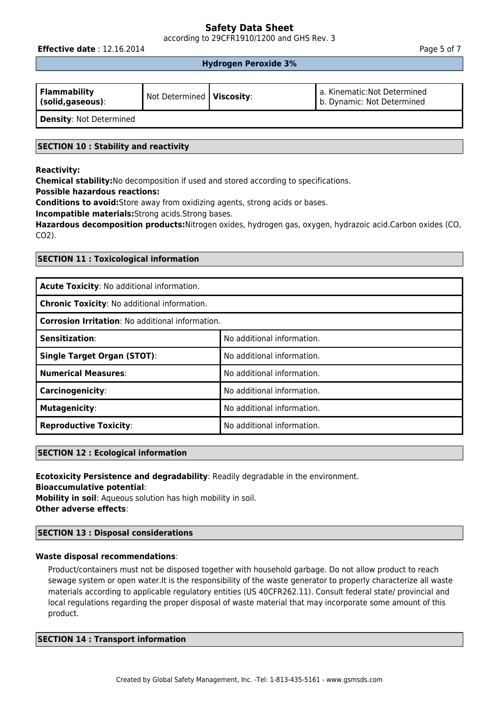according to 29CFR1910/1200 and GHS Rev. 3

**Effective date** : 12.16.2014 **Page 5 of 7 Page 5 of 7** 

#### **Hydrogen Peroxide 3%**

| <b>Flammability</b><br>(solid, gaseous): | Not Determined   Viscosity: | a. Kinematic: Not Determined<br>I b. Dynamic: Not Determined |
|------------------------------------------|-----------------------------|--------------------------------------------------------------|
| <b>Density: Not Determined</b>           |                             |                                                              |

# **SECTION 10 : Stability and reactivity**

#### **Reactivity:**

**Chemical stability:**No decomposition if used and stored according to specifications.

**Possible hazardous reactions:**

**Conditions to avoid:**Store away from oxidizing agents, strong acids or bases.

**Incompatible materials:**Strong acids.Strong bases.

**Hazardous decomposition products:**Nitrogen oxides, hydrogen gas, oxygen, hydrazoic acid.Carbon oxides (CO, CO2).

## **SECTION 11 : Toxicological information**

| Acute Toxicity: No additional information.              |                            |  |  |
|---------------------------------------------------------|----------------------------|--|--|
| Chronic Toxicity: No additional information.            |                            |  |  |
| <b>Corrosion Irritation: No additional information.</b> |                            |  |  |
| Sensitization:                                          | No additional information. |  |  |
| <b>Single Target Organ (STOT):</b>                      | No additional information. |  |  |
| <b>Numerical Measures:</b>                              | No additional information. |  |  |
| <b>Carcinogenicity:</b>                                 | No additional information. |  |  |
| <b>Mutagenicity:</b>                                    | No additional information. |  |  |
| <b>Reproductive Toxicity:</b>                           | No additional information. |  |  |

### **SECTION 12 : Ecological information**

**Ecotoxicity Persistence and degradability**: Readily degradable in the environment.

**Bioaccumulative potential**:

**Mobility in soil**: Aqueous solution has high mobility in soil. **Other adverse effects**:

# **SECTION 13 : Disposal considerations**

#### **Waste disposal recommendations**:

Product/containers must not be disposed together with household garbage. Do not allow product to reach sewage system or open water.It is the responsibility of the waste generator to properly characterize all waste materials according to applicable regulatory entities (US 40CFR262.11). Consult federal state/ provincial and local regulations regarding the proper disposal of waste material that may incorporate some amount of this product.

#### **SECTION 14 : Transport information**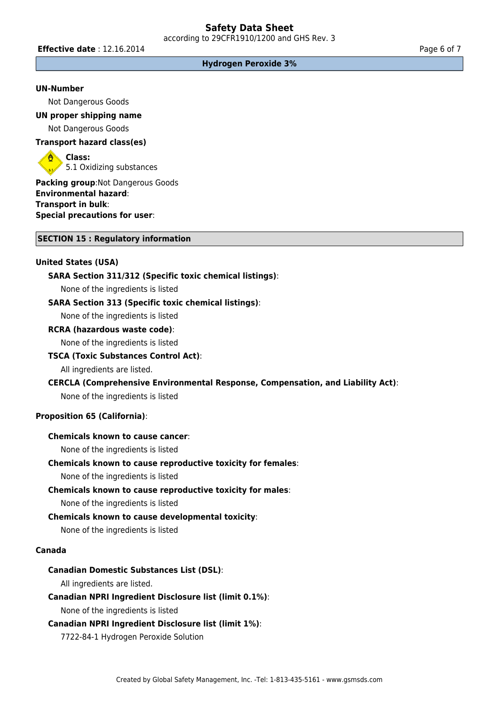**Effective date** : 12.16.2014 **Page 6 of 7 Page 6 of 7** 

#### **Hydrogen Peroxide 3%**

#### **UN-Number**

Not Dangerous Goods

**UN proper shipping name** Not Dangerous Goods

# **Transport hazard class(es)**

**Class:** 5.1 Oxidizing substances

**Packing group**:Not Dangerous Goods **Environmental hazard**: **Transport in bulk**: **Special precautions for user**:

#### **SECTION 15 : Regulatory information**

# **United States (USA)**

#### **SARA Section 311/312 (Specific toxic chemical listings)**:

None of the ingredients is listed

#### **SARA Section 313 (Specific toxic chemical listings)**:

None of the ingredients is listed

#### **RCRA (hazardous waste code)**:

None of the ingredients is listed

#### **TSCA (Toxic Substances Control Act)**:

All ingredients are listed.

#### **CERCLA (Comprehensive Environmental Response, Compensation, and Liability Act)**:

None of the ingredients is listed

#### **Proposition 65 (California)**:

# **Chemicals known to cause cancer**:

None of the ingredients is listed

#### **Chemicals known to cause reproductive toxicity for females**:

None of the ingredients is listed

#### **Chemicals known to cause reproductive toxicity for males**:

None of the ingredients is listed

#### **Chemicals known to cause developmental toxicity**:

None of the ingredients is listed

## **Canada**

#### **Canadian Domestic Substances List (DSL)**:

All ingredients are listed.

#### **Canadian NPRI Ingredient Disclosure list (limit 0.1%)**:

None of the ingredients is listed

#### **Canadian NPRI Ingredient Disclosure list (limit 1%)**:

7722-84-1 Hydrogen Peroxide Solution